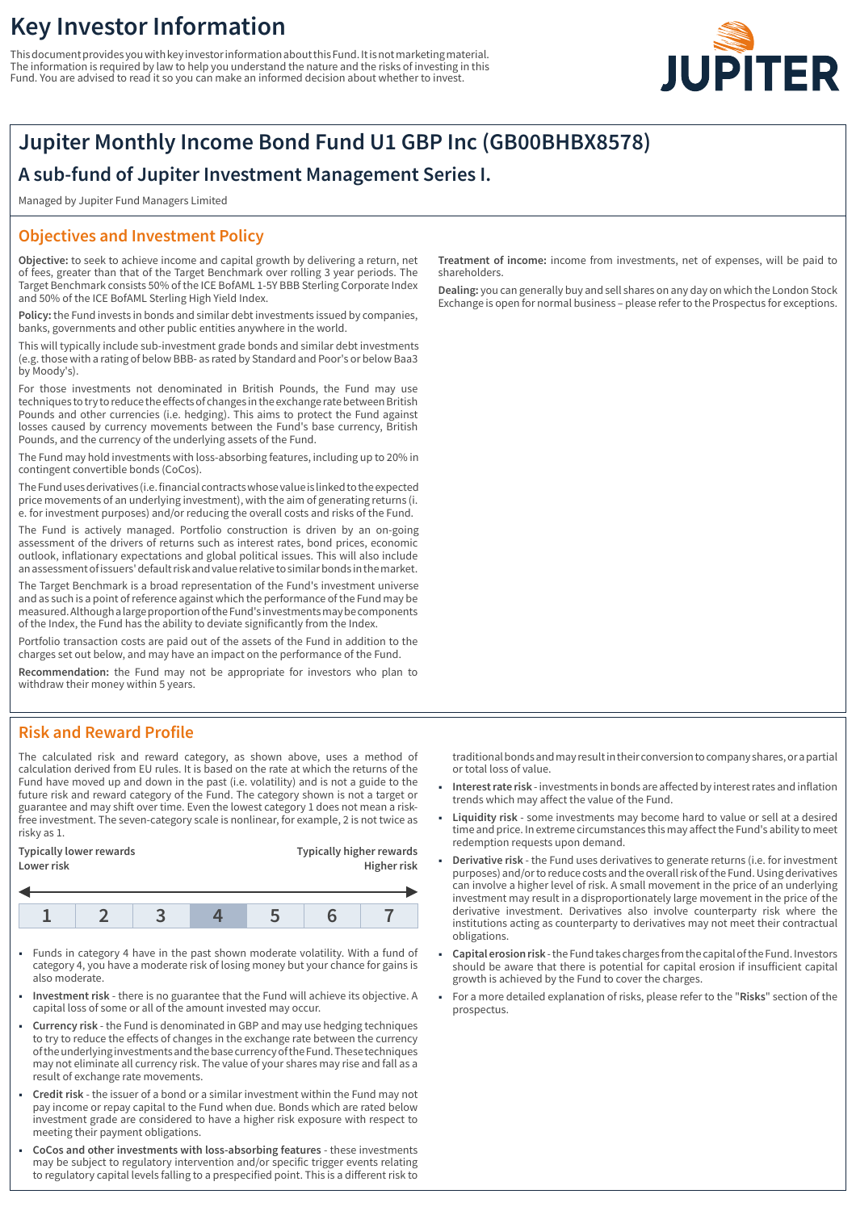# **Key Investor Information**

This document provides you with key investor information about this Fund. It is not marketing material. The information is required by law to help you understand the nature and the risks of investing in this Fund. You are advised to read it so you can make an informed decision about whether to invest.



# **Jupiter Monthly Income Bond Fund U1 GBP Inc (GB00BHBX8578)**

## **A sub-fund of Jupiter Investment Management Series I.**

Managed by Jupiter Fund Managers Limited

## **Objectives and Investment Policy**

**Objective:** to seek to achieve income and capital growth by delivering a return, net of fees, greater than that of the Target Benchmark over rolling 3 year periods. The Target Benchmark consists 50% of the ICE BofAML 1-5Y BBB Sterling Corporate Index and 50% of the ICE BofAML Sterling High Yield Index.

**Policy:** the Fund invests in bonds and similar debt investments issued by companies, banks, governments and other public entities anywhere in the world.

This will typically include sub-investment grade bonds and similar debt investments (e.g. those with a rating of below BBB- as rated by Standard and Poor's or below Baa3 by Moody's).

For those investments not denominated in British Pounds, the Fund may use techniques to try to reduce the effects of changes in the exchange rate between British Pounds and other currencies (i.e. hedging). This aims to protect the Fund against losses caused by currency movements between the Fund's base currency, British Pounds, and the currency of the underlying assets of the Fund.

The Fund may hold investments with loss-absorbing features, including up to 20% in contingent convertible bonds (CoCos).

The Fund uses derivatives (i.e. financial contracts whose value is linked to the expected price movements of an underlying investment), with the aim of generating returns (i. e. for investment purposes) and/or reducing the overall costs and risks of the Fund.

The Fund is actively managed. Portfolio construction is driven by an on-going assessment of the drivers of returns such as interest rates, bond prices, economic outlook, inflationary expectations and global political issues. This will also include an assessment of issuers' default risk and value relative to similar bonds in the market.

The Target Benchmark is a broad representation of the Fund's investment universe and as such is a point of reference against which the performance of the Fund may be measured. Although a large proportion of the Fund's investments may be components of the Index, the Fund has the ability to deviate significantly from the Index.

Portfolio transaction costs are paid out of the assets of the Fund in addition to the charges set out below, and may have an impact on the performance of the Fund.

**Recommendation:** the Fund may not be appropriate for investors who plan to withdraw their money within 5 years.

## **Risk and Reward Profile**

The calculated risk and reward category, as shown above, uses a method of calculation derived from EU rules. It is based on the rate at which the returns of the Fund have moved up and down in the past (i.e. volatility) and is not a guide to the future risk and reward category of the Fund. The category shown is not a target or guarantee and may shift over time. Even the lowest category 1 does not mean a riskfree investment. The seven-category scale is nonlinear, for example, 2 is not twice as risky as 1.

| <b>Typically higher rewards</b><br>Typically lower rewards<br>Higher risk<br>Lower risk |
|-----------------------------------------------------------------------------------------|
|                                                                                         |

- 1 Funds in category 4 have in the past shown moderate volatility. With a fund of category 4, you have a moderate risk of losing money but your chance for gains is also moderate.
- 1 **Investment risk** there is no guarantee that the Fund will achieve its objective. A capital loss of some or all of the amount invested may occur.
- 1 **Currency risk** the Fund is denominated in GBP and may use hedging techniques to try to reduce the effects of changes in the exchange rate between the currency of the underlying investments and the base currency of the Fund. These techniques may not eliminate all currency risk. The value of your shares may rise and fall as a result of exchange rate movements.
- 1 **Credit risk** the issuer of a bond or a similar investment within the Fund may not pay income or repay capital to the Fund when due. Bonds which are rated below investment grade are considered to have a higher risk exposure with respect to meeting their payment obligations.
- 1 **CoCos and other investments with loss-absorbing features** these investments may be subject to regulatory intervention and/or specific trigger events relating to regulatory capital levels falling to a prespecified point. This is a different risk to

**Treatment of income:** income from investments, net of expenses, will be paid to shareholders.

**Dealing:** you can generally buy and sell shares on any day on which the London Stock Exchange is open for normal business – please refer to the Prospectus for exceptions.

traditional bonds and may result in their conversion to company shares, or a partial or total loss of value.

- 1 **Interest rate risk** investments in bonds are affected by interest rates and inflation trends which may affect the value of the Fund.
- 1 **Liquidity risk** some investments may become hard to value or sell at a desired time and price. In extreme circumstances this may affect the Fund's ability to meet redemption requests upon demand.
- 1 **Derivative risk** the Fund uses derivatives to generate returns (i.e. for investment purposes) and/or to reduce costs and the overall risk of the Fund. Using derivatives can involve a higher level of risk. A small movement in the price of an underlying investment may result in a disproportionately large movement in the price of the derivative investment. Derivatives also involve counterparty risk where the institutions acting as counterparty to derivatives may not meet their contractual obligations.
- 1 **Capital erosion risk** the Fund takes charges from the capital of the Fund. Investors should be aware that there is potential for capital erosion if insufficient capital growth is achieved by the Fund to cover the charges.
- 1 For a more detailed explanation of risks, please refer to the "**Risks**" section of the prospectus.